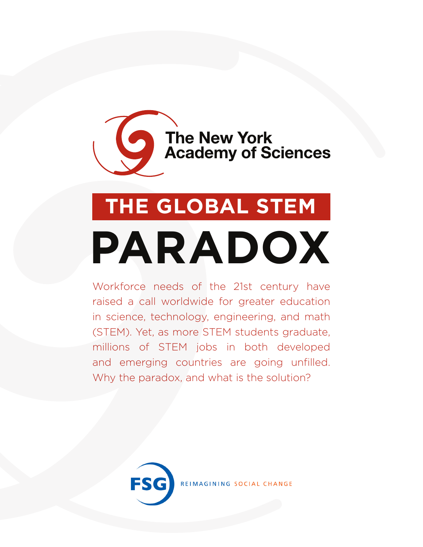# The New York<br>Academy of Sciences

## **THE GLOBAL STEM**

## **PARADOX**

Workforce needs of the 21st century have raised a call worldwide for greater education in science, technology, engineering, and math (STEM). Yet, as more STEM students graduate, millions of STEM jobs in both developed and emerging countries are going unfilled. Why the paradox, and what is the solution?

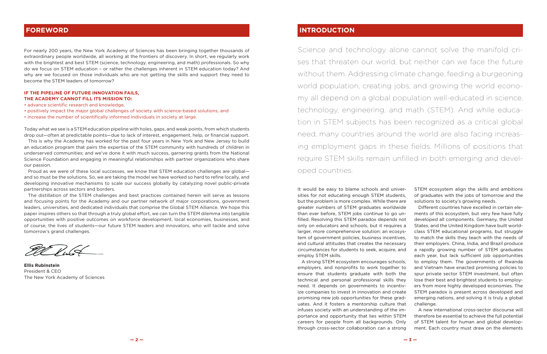For nearly 200 years, the New York Academy of Sciences has been bringing together thousands of extraordinary people worldwide, all working at the frontiers of discovery. In short, we regularly work with the brightest and best STEM (science, technology, engineering, and math) professionals. So why do we focus on STEM education – or rather the challenges inherent in STEM education today? And why are we focused on those individuals who are not getting the skills and support they need to become the STEM leaders of tomorrow?

#### **IF THE PIPELINE OF FUTURE INNOVATION FAILS, THE ACADEMY CANNOT FILL ITS MISSION TO:**

- advance scientific research and knowledge,
- positively impact the major global challenges of society with science-based solutions, and
- increase the number of scientifically informed individuals in society at large.

Today what we see is a STEM education pipeline with holes, gaps, and weak points, from which students drop out—often at predictable points—due to lack of interest, engagement, help, or financial support.

This is why the Academy has worked for the past four years in New York and New Jersey to build an education program that pairs the expertise of the STEM community with hundreds of children in underserved communities; and we've done it with much success, garnering grants from the National Science Foundation and engaging in meaningful relationships with partner organizations who share our passion.

Proud as we were of these local successes, we know that STEM education challenges are global and so must be the solutions. So, we are taking the model we have worked so hard to refine locally, and developing innovative mechanisms to scale our success globally by catalyzing novel public-private partnerships across sectors and borders.

The distillation of the STEM challenges and best practices contained herein will serve as lessons and focusing points for the Academy and our partner network of major corporations, government leaders, universities, and dedicated individuals that comprise the Global STEM Alliance. We hope this paper inspires others so that through a truly global effort, we can turn the STEM dilemma into tangible opportunities with positive outcomes on workforce development, local economies, businesses, and of course, the lives of students—our future STEM leaders and innovators, who will tackle and solve tomorrow's grand challenges.

**Ellis Rubinstein** President & CEO The New York Academy of Sciences

#### **FOREWORD**

Science and technology alone cannot solve the manifold crises that threaten our world, but neither can we face the future without them. Addressing climate change, feeding a burgeoning world population, creating jobs, and growing the world economy all depend on a global population well-educated in science, technology, engineering, and math (STEM). And while education in STEM subjects has been recognized as a critical global need, many countries around the world are also facing increasing employment gaps in these fields. Millions of positions that require STEM skills remain unfilled in both emerging and developed countries.

It would be easy to blame schools and universities for not educating enough STEM students, but the problem is more complex. While there are greater numbers of STEM graduates worldwide than ever before, STEM jobs continue to go unfilled. Resolving this STEM paradox depends not only on educators and schools, but it requires a larger, more comprehensive solution: an ecosystem of government policies, business incentives, and cultural attitudes that creates the necessary circumstances for students to seek, acquire, and employ STEM skills. A strong STEM ecosystem encourages schools, employers, and nonprofits to work together to ensure that students graduate with both the technical and personal professional skills they need. It depends on governments to incentivize companies to invest in innovation and create promising new job opportunities for these graduates. And it fosters a mentorship culture that STEM ecosystem align the skills and ambitions of graduates with the jobs of tomorrow and the solutions to society's growing needs. Different countries have excelled in certain elements of this ecosystem, but very few have fully developed all components. Germany, the United States, and the United Kingdom have built worldclass STEM educational programs, but struggle to match the skills they teach with the needs of their employers. China, India, and Brazil produce a rapidly growing number of STEM graduates each year, but lack sufficient job opportunities to employ them. The governments of Rwanda and Vietnam have enacted promising policies to spur private sector STEM investment, but often lose their best and brightest students to employers from more highly developed economies. The STEM paradox is present across developed and emerging nations, and solving it is truly a global challenge.

infuses society with an understanding of the importance and opportunity that lies within STEM careers for people from all backgrounds. Only through cross-sector collaboration can a strong A new international cross-sector discourse will therefore be essential to achieve the full potential of STEM talent for human and global development. Each country must draw on the elements

#### **INTRODUCTION**

**— 2 — — 3 —**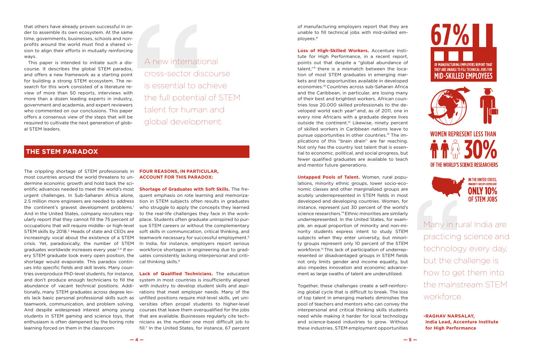#### **THE STEM PARADOX**

that others have already proven successful in order to assemble its own ecosystem. At the same time, governments, businesses, schools and nonprofits around the world must find a shared vision to align their efforts in mutually reinforcing ways.

This paper is intended to initiate such a discourse. It describes the global STEM paradox, and offers a new framework as a starting point for building a strong STEM ecosystem. The research for this work consisted of a literature review of more than 50 reports, interviews with more than a dozen leading experts in industry, government and academia, and expert reviewers who commented on our conclusions. This paper offers a consensus view of the steps that will be required to cultivate the next generation of global STEM leaders.

A new international cross-sector discourse is essential to achieve the full potential of STEM talent for human and global development.

The crippling shortage of STEM professionals in most countries around the world threatens to undermine economic growth and hold back the scientific advances needed to meet the world's most **Shortage of Graduates with Soft Skills.** The freurgent challenges. In Sub-Saharan Africa alone, the continent's gravest development problems.<sup>1</sup> And in the United States, company recruiters regularly report that they cannot fill the 75 percent of occupations that will require middle- or high-level STEM skills by 2018.<sup>2</sup> Heads of state and CEOs are increasingly vocal about the existence of a STEM crisis. Yet, paradoxically, the number of STEM graduates worldwide increases every year.3,4 If every STEM graduate took every open position, the shortage would evaporate. This paradox continues into specific fields and skill levels. Many countries overproduce PhD-level students, for instance, and don't produce enough technicians to fill the abundance of vacant technical positions. Additionally, many STEM graduates across degree levels lack basic personal professional skills such as unfilled positions require mid-level skills, yet uniteamwork, communication, and problem solving. And despite widespread interest among young students in STEM gaming and science toys, that enthusiasm is often dampened by the boring rote learning forced on them in the classroom.

2.5 million more engineers are needed to address tion in STEM subjects often results in graduates quent emphasis on rote learning and memorizawho struggle to apply the concepts they learned to the real-life challenges they face in the workplace. Students often graduate uninspired to pursue STEM careers or without the complementary soft skills in communication, critical thinking, and teamwork necessary for successful employment.5 In India, for instance, employers report serious workforce shortages in engineering due to graduates consistently lacking interpersonal and critical thinking skills.6

#### **FOUR REASONS, IN PARTICULAR, ACCOUNT FOR THIS PARADOX:**

**Lack of Qualified Technicians.** The education system in most countries is insufficiently aligned with industry to develop student skills and aspirations that meet employer needs. Many of the versities often propel students to higher-level courses that leave them overqualified for the jobs that are available. Businesses regularly cite technicians as the number one most difficult job to fill.7 In the United States, for instance, 67 percent of manufacturing employers report that they are unable to fill technical jobs with mid-skilled employees.8

**Loss of High-Skilled Workers.** Accenture Institute for High Performance, in a recent report, points out that despite a "global abundance of talent,"9 there is a mismatch between the location of most STEM graduates in emerging markets and the opportunities available in developed economies.10 Countries across sub-Saharan Africa and the Caribbean, in particular, are losing many of their best and brightest workers. African countries lose 20,000 skilled professionals to the developed world each year<sup>11</sup> and, as of 2011, one in every nine Africans with a graduate degree lives outside the continent.<sup>12</sup> Likewise, ninety percent of skilled workers in Caribbean nations leave to pursue opportunities in other countries.13 The implications of this "brain drain" are far reaching. Not only has the country lost talent that is essential to economic, political, and social progress, but fewer qualified graduates are available to teach and mentor future generations.

**Untapped Pools of Talent.** Women, rural populations, minority ethnic groups, lower socio-economic classes and other marginalized groups are acutely underrepresented in STEM fields in most developed and developing countries. Women, for instance, represent just 30 percent of the world's science researchers.14 Ethnic minorities are similarly underrepresented. In the United States, for example, an equal proportion of minority and non-minority students express intent to study STEM subjects when they enter university, but minority groups represent only 10 percent of the STEM workforce.15 This lack of participation of underrepresented or disadvantaged groups in STEM fields not only limits gender and income equality, but also impedes innovation and economic advancement as large swaths of talent are underutilized.

Together, these challenges create a self-reinforcing global cycle that is difficult to break. The loss of top talent in emerging markets diminishes the pool of teachers and mentors who can convey the interpersonal and critical thinking skills students need while making it harder for local technology and science-based industries to grow. Without these industries, STEM employment opportunities



practicing science and technology every day, but the challenge is how to get them into the mainstream STEM workforce.

**-RAGHAV NARSALAY, India Lead, Accenture Institute for High Performance**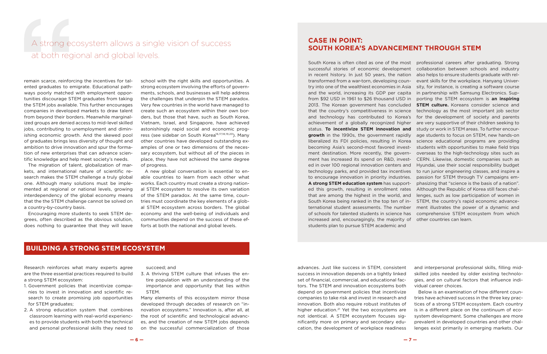#### **BUILDING A STRONG STEM ECOSYSTEM**

### A strong ecosystem allows a single vision of success at both regional and global levels.

remain scarce, reinforcing the incentives for talented graduates to emigrate. Educational pathways poorly matched with employment opportunities discourage STEM graduates from taking the STEM jobs available. This further encourages companies in developed markets to draw talent from beyond their borders. Meanwhile marginalized groups are denied access to mid-level skilled jobs, contributing to unemployment and diminishing economic growth. And the skewed pool of graduates brings less diversity of thought and ambition to drive innovation and spur the formation of new enterprises that can advance scientific knowledge and help meet society's needs.

The migration of talent, globalization of markets, and international nature of scientific research makes the STEM challenge a truly global one. Although many solutions must be implemented at regional or national levels, growing interdependency of the global economy means that the the STEM challenge cannot be solved on a country-by-country basis.

Encouraging more students to seek STEM degrees, often described as the obvious solution, does nothing to guarantee that they will leave

school with the right skills and opportunities. A strong ecosystem involving the efforts of governments, schools, and businesses will help address the challenges that underpin the STEM paradox. Very few countries in the world have managed to create such an ecosystem within their own borders, but those that have, such as South Korea, Vietnam, Israel, and Singapore, have achieved astonishingly rapid social and economic progress (see sidebar on South Korea<sup>16,17,18,19,20</sup>). Many other countries have developed outstanding examples of one or two dimensions of the necessary ecosystem, but without all of the pieces in place, they have not achieved the same degree of progress.

A new global conversation is essential to enable countries to learn from each other what works. Each country must create a strong national STEM ecosystem to resolve its own variation of the STEM paradox. At the same time, countries must coordinate the key elements of a global STEM ecosystem across borders. The global economy and the well-being of individuals and communities depend on the success of these efforts at both the national and global levels.

#### **CASE IN POINT: SOUTH KOREA'S ADVANCEMENT THROUGH STEM**

South Korea is often cited as one of the most professional careers after graduating. Strong successful stories of economic development collaboration between schools and industry in recent history. In just 50 years, the nation also helps to ensure students graduate with reltransformed from a war-torn, developing coun-evant skills for the workplace. Hanyang Univertry into one of the wealthiest economies in Asia sity, for instance, is creating a software course and the world, increasing its GDP per capita in partnership with Samsung Electronics. Supfrom \$92 USD in 1961 to \$26 thousand USD in 2013. The Korean government has concluded **STEM culture.** Koreans consider science and that the country's competitiveness in science technology as the most important job sector and technology has contributed to Korea's for the development of society and parents achievement of a globally recognized higher status. **To incentivize STEM innovation and growth** in the 1990s, the government rapidly age students to focus on STEM, new hands-on liberalized its FDI policies, resulting in Korea science educational programs are providing becoming Asia's second-most favored investment destination. More recently, the government has increased its spend on R&D, invested in over 100 regional innovation centers and technology parks, and provided tax incentives to encourage innovation in priority industries. **A strong STEM education system** has supported this growth, resulting in enrollment rates Although the Republic of Korea still faces chalthat are among the highest in the world, and South Korea being ranked in the top ten of in-STEM, the country's rapid economic advanceternational student assessments. The number ment illustrates the power of a dynamic and of schools for talented students in science has increased and, encouragingly, the majority of other countries can learn. students plan to pursue STEM academic and porting the STEM ecosystem is **an inspiring**  are very supportive of their children seeking to study or work in STEM areas. To further encourstudents with opportunities to make field trips overseas to the high-technology sites such as CERN. Likewise, domestic companies such as Hyundai, use their social responsibility budget to run junior engineering classes, and inspire a passion for STEM through TV campaigns emphasizing that "science is the basis of a nation". lenges, such as low participation of women in comprehensive STEM ecosystem from which

Research reinforces what many experts agree are the three essential practices required to build a strong STEM ecosystem:

- 1. Government policies that incentivize companies to invest in innovation and scientific research to create promising job opportunities for STEM graduates;
- 2. A strong education system that combines classroom learning with real-world experiences to provide students with both the technical and personal professional skills they need to

succeed; and

3. A thriving STEM culture that infuses the entire population with an understanding of the importance and opportunity that lies within STEM.

Many elements of this ecosystem mirror those developed through decades of research on "innovation ecosystems." Innovation is, after all, at the root of scientific and technological advances, and the creation of new STEM jobs depends on the successful commercialization of those advances. Just like success in STEM, consistent success in innovation depends on a tightly linked set of financial, commercial, and educational factors. The STEM and innovation ecosystems both depend on government policies that incentivize companies to take risk and invest in research and innovation. Both also require robust institutes of higher education.<sup>21</sup> Yet the two ecosystems are not identical. A STEM ecosystem focuses significantly more on primary and secondary education, the development of workplace readiness and interpersonal professional skills, filling midskilled jobs needed by older existing technologies, and on cultural factors that influence individual career choices. Below is an examination of how different countries have achieved success in the three key practices of a strong STEM ecosystem. Each country is in a different place on the continuum of ecosystem development. Some challenges are more prevalent in developed countries and other challenges exist primarily in emerging markets. Our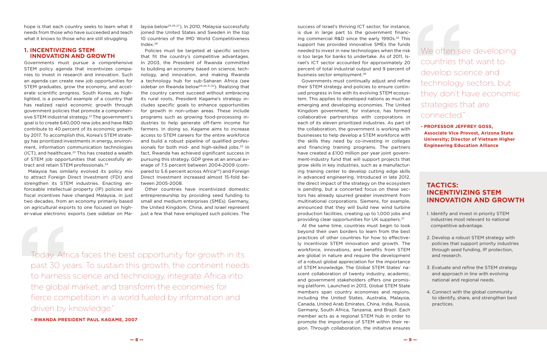hope is that each country seeks to learn what it needs from those who have succeeded and teach what it knows to those who are still struggling.

Governments must pursue a comprehensive STEM policy agenda that incentivizes companies to invest in research and innovation. Such an agenda can create new job opportunities for STEM graduates, grow the economy, and accelerate scientific progress. South Korea, as highlighted, is a powerful example of a country that has realized rapid economic growth through government policies that promote a comprehensive STEM industrial strategy.<sup>22</sup> The government's goal is to create 640,000 new jobs and have R&D contribute to 40 percent of its economic growth by 2017. To accomplish this, Korea's STEM strategy has prioritized investments in energy, environment, information communication technologies  $(ICT)$ , and healthcare.<sup>23</sup> This has created a wealth of STEM job opportunities that successfully attract and retain STEM professionals.<sup>24</sup>

#### **1. INCENTIVIZING STEM INNOVATION AND GROWTH**

Malaysia has similarly evolved its policy mix to attract Foreign Direct Investment (FDI) and strengthen its STEM industries. Enacting enforceable intellectual property (IP) policies and fiscal incentives have changed Malaysia, in just two decades, from an economy primarily based on agricultural exports to one focused on higher-value electronic exports (see sidebar on Masuccess of Israel's thriving ICT sector, for instance, is due in large part to the government financing commercial R&D since the early 1990s.<sup>35</sup> This support has provided innovative SMEs the funds needed to invest in new technologies when the risk is too large for banks to undertake. As of 2011, Israel's ICT sector accounted for approximately 20 percent of total industrial output and 9 percent of business sector employment.<sup>36</sup>

laysia below25,26,27). In 2010, Malaysia successfully joined the United States and Sweden in the top 10 countries of the IMD World Competitiveness Index.28

Policies must be targeted at specific sectors that fit the country's competitive advantages. In 2003, the President of Rwanda committed to building an economy based on science, technology, and innovation, and making Rwanda a technology hub for sub-Saharan Africa (see sidebar on Rwanda below<sup>29,30,31,32</sup>). Realizing that the country cannot succeed without embracing its rural roots, President Kagame's strategy includes specific goals to enhance opportunities for growth in non-urban areas. These include programs such as growing food-processing industries to help generate off-farm income for farmers. In doing so, Kagame aims to increase access to STEM careers for the entire workforce and build a robust pipeline of qualified professionals for both mid- and high-skilled jobs. $33$  In fact, Rwanda has achieved significant success in pursuing this strategy. GDP grew at an annual average of 7.5 percent between 2004-2009 (compared to 5.6 percent across Africa<sup>34</sup>) and Foreign Direct Investment increased almost 15-fold between 2005-2008.

Other countries have incentivized domestic entrepreneurship by providing seed funding to small and medium enterprises (SMEs). Germany, the United Kingdom, China, and Israel represent just a few that have employed such policies. The

We often see developing countries that want to develop science and technology sectors, but they don't have economic strategies that are connected."

Governments must continually adjust and refine their STEM strategy and policies to ensure continued progress in line with its evolving STEM ecosystem. This applies to developed nations as much as emerging and developing economies. The United Kingdom government, for instance, has formed collaborative partnerships with corporations in each of its eleven prioritized industries. As part of the collaboration, the government is working with businesses to help develop a STEM workforce with the skills they need by co-investing in colleges and financing training programs. The partners have created a £100 million per year joint government-industry fund that will support projects that grow skills in key industries, such as a manufacturing training center to develop cutting edge skills in advanced engineering. Introduced in late 2012, the direct impact of the strategy on the ecosystem is pending, but a concerted focus on these sectors has already spurred greater investment from multinational corporations. Siemens, for example, announced that they will build new wind turbine production facilities, creating up to 1,000 jobs and providing clear opportunities for UK suppliers.37

At the same time, countries must begin to look beyond their own borders to learn from the best practices of other countries for how to effectively incentivize STEM innovation and growth. The workforce, innovations, and benefits from STEM are global in nature and require the development of a robust global appreciation for the importance of STEM knowledge. The Global STEM States' nascent collaboration of twenty industry, academic, and government stakeholders offers one promising platform. Launched in 2013, Global STEM State members span country economies and regions, including the United States, Australia, Malaysia, Canada, United Arab Emirates, China, India, Russia, Germany, South Africa, Tanzania, and Brazil. Each member acts as a regional STEM hub in order to promote the importance of STEM within their region. Through collaboration, the initiative ensures

#### **TACTICS: INCENTIVIZING STEM INNOVATION AND GROWTH**

- 1. Identify and invest in priority STEM industries most relevant to national competitive advantage.
- 2. Develop a robust STEM strategy with policies that support priority industries through seed funding, IP protection, and research.
- 3. Evaluate and refine the STEM strategy and approach in line with evolving national and regional needs.
- 4. Connect with the global community to identify, share, and strengthen best practices.

**- PROFESSOR JEFFREY GOSS, Associate Vice Provost, Arizona State University; Director of Vietnam Higher Engineering Education Alliance** 

Today, Africa faces the best opportunity for growth in its past 30 years. To sustain this growth, the continent needs to harness science and technology, integrate Africa into the global market, and transform the economies for fierce competition in a world fueled by information and driven by knowledge."

**- RWANDA PRESIDENT PAUL KAGAME, 2007**

**— 8 — — 9 —**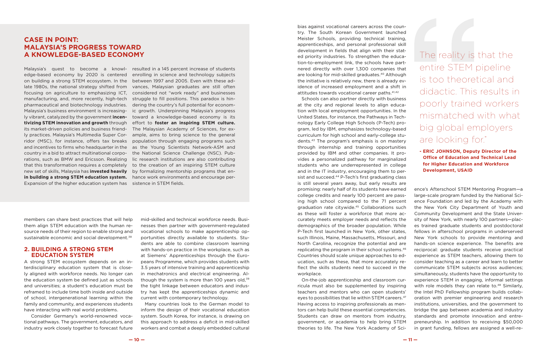#### **2. BUILDING A STRONG STEM EDUCATION SYSTEM**

A strong STEM ecosystem depends on an interdisciplinary education system that is closely aligned with workforce needs. No longer can the education system be defined just as schools and universities; a student's education must be reframed to include time both inside and outside of school, intergenerational learning within the family and community, and experiences students have interacting with real world problems.

 Consider Germany's world-renowned vocational pathways. The government, educators, and industry work closely together to forecast future mid-skilled and technical workforce needs. Businesses then partner with government-regulated vocational schools to make apprenticeship opportunities directly available to students. Students are able to combine classroom learning with hands-on practice in the workplace, such as at Siemens' Apprenticeships through the Europeans Programme, which provides students with 3.5 years of intensive training and apprenticeship in mechatronics and electrical engineering. Although the system is more than 100 years old, $39$ the tight linkage between educators and industry has kept the apprenticeships dynamic and current with contemporary technology.

Many countries look to the German model to inform the design of their vocational education system. South Korea, for instance, is drawing on this approach to address a deficit in mid-skilled workers and combat a deeply embedded cultural bias against vocational careers across the country. The South Korean Government launched Meister Schools, providing technical training, apprenticeships, and personal professional skill development in fields that align with their stated priority industries. To strengthen the education-to-employment link, the schools have partnered directly with over 1,300 companies that are looking for mid-skilled graduates.<sup>40</sup> Although the initiative is relatively new, there is already evidence of increased employment and a shift in attitudes towards vocational career paths.41,42

Schools can also partner directly with business at the city and regional levels to align education with local employment opportunities. In the United States, for instance, the Pathways in Technology Early College High Schools (P-Tech) program, led by IBM, emphasizes technology-based curriculum for high school and early-college students.43 The program's emphasis is on mastery through internship and training opportunities provided by IBM and other companies. It provides a personalized pathway for marginalized students who are underrepresented in college and in the IT industry, encouraging them to persist and succeed.<sup>44</sup> P-Tech's first graduating class is still several years away, but early results are workplace.

edge-based economy by 2020 is centered enrolling in science and technology subjects on building a strong STEM ecosystem. In the between 1997 and 2005. Even with these adlate 1980s, the national strategy shifted from vances, Malaysian graduates are still often focusing on agriculture to emphasizing ICT, considered not "work ready" and businesses manufacturing, and, more recently, high-tech struggle to fill positions. This paradox is hinpharmaceutical and biotechnology industries. dering the country's full potential for econom-Malaysia's business environment is increasing-ic growth. Underpinning Malaysia's progress ly vibrant, catalyzed by the government **incen-**toward a knowledge-based economy is its **tivizing STEM innovation and growth** through effort to **foster an inspiring STEM culture.**  its market-driven policies and business friend-The Malaysian Academy of Sciences, for exly practices. Malaysia's Multimedia Super Cor-ample, aims to bring science to the general ridor (MSC), for instance, offers tax breaks population through engaging programs such and incentives to firms who headquarter in the as the Young Scientists Network-ASM and country in a bid to attract multinational corpo-the National Science Challenge (NSC). Pubrations, such as BMW and Ericsson. Realizing lic research institutions are also contributing that this transformation requires a completely to the creation of an inspiring STEM culture new set of skills, Malaysia has **invested heavily**  by formalizing mentorship programs that en**in building a strong STEM education system.**  hance work environments and encourage per-Expansion of the higher education system has sistence in STEM fields.

promising: nearly half of its students have earned college credits and nearly 100 percent are passing high school compared to the 71 percent graduation rate citywide.45 Collaborations such as these will foster a workforce that more accurately meets employer needs and reflects the demographics of the broader population. While P-Tech first launched in New York, other states, such Illinois, Maine, Massachusetts, Missouri, and North Carolina, recognize the potential and are replicating the program in their school systems.46 Countries should scale unique approaches to education, such as these, that more accurately reflect the skills students need to succeed in the On-the-job apprenticeship and classroom curricula must also be supplemented by inspiring teachers and mentors who can open students' eyes to possibilities that lie within STEM careers.47 Having access to inspiring professionals as mentors can help build these essential competencies. Students can draw on mentors from industry, government, or academia to help bring STEM theories to life. The New York Academy of Science's Afterschool STEM Mentoring Program—a large-scale program funded by the National Science Foundation and led by the Academy with the New York City Department of Youth and Community Development and the State University of New York, with nearly 100 partners—places trained graduate students and postdoctoral fellows in afterschool programs in underserved New York schools to provide mentoring and hands-on science experience. The benefits are reciprocal: graduate students receive practical experience as STEM teachers, allowing them to consider teaching as a career and learn to better communicate STEM subjects across audiences; simultaneously, students have the opportunity to experience STEM in engaging, informal settings with role models they can relate to.<sup>48</sup> Similarly, the Intel PhD Fellowship program builds collaboration with premier engineering and research institutions, universities, and the government to bridge the gap between academia and industry standards and promote innovation and entrepreneurship. In addition to receiving \$50,000 in grant funding, fellows are assigned a well-re-

#### **CASE IN POINT: MALAYSIA'S PROGRESS TOWARD A KNOWLEDGE-BASED ECONOMY**

Malaysia's quest to become a knowl-resulted in a 145 percent increase of students

members can share best practices that will help them align STEM education with the human resource needs of their region to enable strong and sustainable economic and social development.<sup>38</sup>

The reality is that the entire STEM pipeline is too theoretical and didactic. This results in poorly trained workers mismatched with what big global employers are looking for."

#### **- ERIC JOHNSON, Deputy Director of the Office of Education and Technical Lead for Higher Education and Workforce Development, USAID**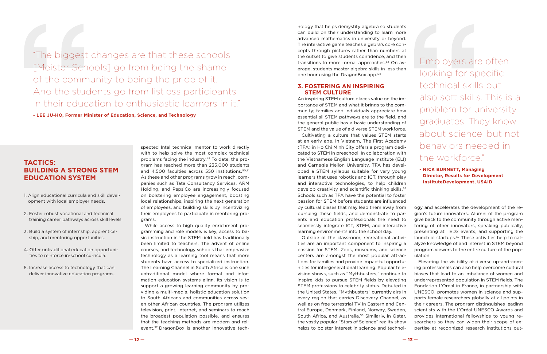nology that helps demystify algebra so students can build on their understanding to learn more advanced mathematics in university or beyond. The interactive game teaches algebra's core concepts through pictures rather than numbers at the outset to give students confidence, and then transitions to more formal approaches.<sup>53</sup> On average, students master algebra skills in less than one hour using the DragonBox app.54

#### **3. FOSTERING AN INSPIRING STEM CULTURE**

An inspiring STEM culture places value on the importance of STEM and what it brings to the community; families and individuals appreciate how essential all STEM pathways are to the field, and the general public has a basic understanding of STEM and the value of a diverse STEM workforce.

tions for families and provide impactful opportunities for intergenerational learning. Popular television shows, such as "Mythbusters," continue to inspire kids to pursue STEM fields by elevating STEM professions to celebrity status. Debuted in the United States, "Mythbusters" currently airs in every region that carries Discovery Channel, as well as on free terrestrial TV in Eastern and Central Europe, Denmark, Finland, Norway, Sweden, South Africa, and Australia.56 Similarly, in Qatar, the vastly popular "Stars of Science" reality show helps to bolster interest in science and technol-Elevating the visibility of diverse up-and-coming professionals can also help overcome cultural biases that lead to an imbalance of women and underrepresented population in STEM fields. The Fondation L'Oreal in France, in partnership with UNESCO, promotes women in science and supports female researchers globally at all points in their careers. The program distinguishes leading scientists with the L'Oréal-UNESCO Awards and provides international fellowships to young researchers so they can widen their scope of expertise at recognized research institutions out-

Cultivating a culture that values STEM starts at an early age. In Vietnam, The First Academy (TFA) in Ho Chi Minh City offers a program dedicated to STEM in preschool. In collaboration with the Vietnamese English Language Institute (ELI) and Carnegie Mellon University, TFA has developed a STEM syllabus suitable for very young learners that uses robotics and ICT, through play and interactive technologies, to help children develop creativity and scientific thinking skills.<sup>55</sup> Schools such as TFA have the potential to foster passion for STEM before students are influenced by cultural biases that may lead them away from pursuing these fields, and demonstrate to parents and education professionals the need to seamlessly integrate ICT, STEM, and interactive learning environments into the school day. Outside of the classroom, recreational activities are an important component to inspiring a passion for STEM. Zoos, museums, and science centers are amongst the most popular attracogy and accelerates the development of the region's future innovators. Alumni of the program give back to the community through active mentoring of other innovators, speaking publically, presenting at TEDx events, and supporting the launch of startups.<sup>57</sup> These activities help to catalyze knowledge of and interest in STEM beyond program viewers to the entire culture of the population. behaviors needed in the workforce." **- NICK BURNETT, Managing Director, Results for Development InstituteDevelopment, USAID**

spected Intel technical mentor to work directly with to help solve the most complex technical problems facing the industry.49 To date, the program has reached more than 235,000 students and 4.500 faculties across 550 institutions.<sup>50,51</sup> As these and other programs grow in reach, companies such as Tata Consultancy Services, ARM Holding, and PepsiCo are increasingly focused on bolstering employee engagement, boosting local relationships, inspiring the next generation of employees, and building skills by incentivizing their employees to participate in mentoring programs.

While access to high quality enrichment programming and role models is key, access to basic instruction in the STEM field has traditionally been limited to teachers. The advent of online courses, and technology schools that emphasize technology as a learning tool means that more students have access to specialized instruction. The Learning Channel in South Africa is one such untraditional model where formal and information education systems align. Its vision is to support a growing learning community by providing a multi-media, holistic education solution to South Africans and communities across seven other African countries. The program utilizes television, print, Internet, and seminars to reach the broadest population possible, and ensures that the teaching methods are modern and relevant.52 DragonBox is another innovative techEmployers are often looking for specific technical skills but also soft skills. This is a problem for university graduates. They know about science, but not

"The biggest changes are that these schools [Meister Schools] go from being the shame of the community to being the pride of it. And the students go from listless participants in their education to enthusiastic learners in it."

**- LEE JU-HO, Former Minister of Education, Science, and Technology**

#### **TACTICS: BUILDING A STRONG STEM EDUCATION SYSTEM**

- 1. Align educational curricula and skill development with local employer needs.
- 2. Foster robust vocational and technical training career pathways across skill levels.
- 3. Build a system of internship, apprenticeship, and mentoring opportunities.
- 4. Offer untraditional education opportunities to reinforce in-school curricula.
- 5. Increase access to technology that can deliver innovative education programs.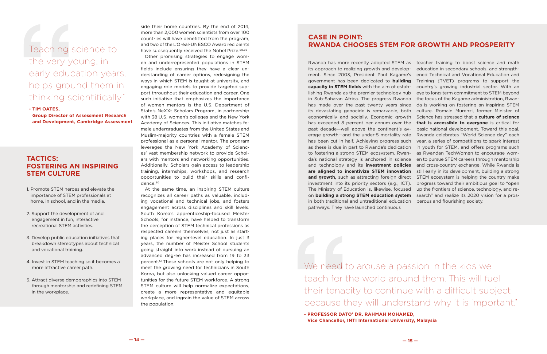Other promising strategies to engage women and underrepresented populations in STEM fields include ensuring they have a clear understanding of career options, redesigning the ways in which STEM is taught at university, and engaging role models to provide targeted support throughout their education and career. One such initiative that emphasizes the importance of women mentors is the U.S. Department of State's NeXXt Scholars Program, in partnership with 38 U.S. women's colleges and the New York Academy of Sciences. This initiative matches female undergraduates from the United States and Muslim-majority countries with a female STEM professional as a personal mentor. The program leverages the New York Academy of Sciences' vast membership network to provide Scholars with mentors and networking opportunities. Additionally, Scholars gain access to leadership training, internships, workshops, and research opportunities to build their skills and confidence.<sup>60</sup>

> We need to arouse a passion in the kids we teach for the world around them. This will fuel their tenacity to continue with a difficult subject because they will understand why it is important."

At the same time, an inspiring STEM culture recognizes all career paths as valuable, including vocational and technical jobs, and fosters engagement across disciplines and skill levels. South Korea's apprenticeship-focused Meister Schools, for instance, have helped to transform the perception of STEM technical professions as respected careers themselves, not just as starting places for higher-level education. In just 3 years, the number of Meister School students going straight into work instead of pursuing an advanced degree has increased from 19 to 33 percent.61 These schools are not only helping to meet the growing need for technicians in South Korea, but also unlocking valued career opportunities for the future STEM workforce. A strong STEM culture will help normalize expectations, create a more representative and equitable workplace, and ingrain the value of STEM across the population.

## Teaching science to the very young, in early education years, helps ground them in thinking scientifically."

**- TIM OATES,** 

**Group Director of Assessment Research and Development, Cambridge Assessment**

#### **TACTICS: FOSTERING AN INSPIRING STEM CULTURE**

- 1. Promote STEM heroes and elevate the importance of STEM professionals at home, in school, and in the media.
- 2. Support the development of and engagement in fun, interactive recreational STEM activities.
- 3. Develop public education initiatives that breakdown stereotypes about technical and vocational training.
- 4. Invest in STEM teaching so it becomes a more attractive career path.
- 5. Attract diverse demographics into STEM through mentorship and redefining STEM in the workplace.

side their home countries. By the end of 2014, more than 2,000 women scientists from over 100 countries will have benefitted from the program, and two of the L'Oréal-UNESCO Award recipients have subsequently received the Nobel Prize.<sup>58,59</sup>

#### **CASE IN POINT: RWANDA CHOOSES STEM FOR GROWTH AND PROSPERITY**

Rwanda has more recently adopted STEM as teacher training to boost science and math its approach to realizing growth and development. Since 2003, President Paul Kagame's government has been dedicated to **building capacity in STEM fields** with the aim of establishing Rwanda as the premier technology hub eye to long-term commitment to STEM beyond in Sub-Saharan Africa. The progress Rwanda has made over the past twenty years since its devastating genocide is remarkable, both culture. Romain Murenzi, former Minister of economically and socially. Economic growth Science has stressed that a **culture of science**  has exceeded 8 percent per annum over the **that is accessible to everyone** is critical for past decade—well above the continent's average growth—and the under-5 mortality rate Rwanda celebrates "World Science day" each has been cut in half. Achieving progress such as these is due in part to Rwanda's dedication to fostering a strong STEM ecosystem. Rwanda's national strategy is anchored in science and technology and its **investment policies are aligned to incentivize STEM innovation**  still early in its development, building a strong and growth, such as attracting foreign direct STEM ecosystem is helping the country make investment into its priority sectors (e.g., ICT). The Ministry of Education is, likewise, focused up the frontiers of science, technology, and reon **building a strong STEM education system**  search" and realize its 2020 vision for a prosin both traditional and untraditional education pathways. They have launched continuous education in secondary schools, and strengthened Technical and Vocational Education and Training (TVET) programs to support the country's growing industrial sector. With an the focus of the Kagame administration, Rwanda is working on fostering an inspiring STEM basic national development. Toward this goal, year, a series of competitions to spark interest in youth for STEM, and offers programs such as Rwandan TechWomen to encourage women to pursue STEM careers through mentorship and cross-country exchange. While Rwanda is progress toward their ambitious goal to "open perous and flourishing society.

**— 14 — — 15 —**

**<sup>-</sup> PROFESSOR DATO' DR. RAHMAH MOHAMED, Vice Chancellor, INTI International University, Malaysia**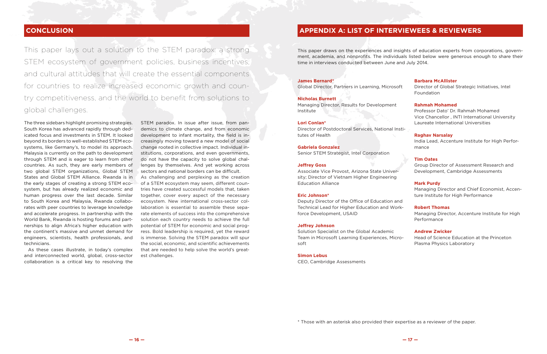This paper lays out a solution to the STEM paradox: a strong STEM ecosystem of government policies, business incentives, and cultural attitudes that will create the essential components for countries to realize increased economic growth and country competitiveness, and the world to benefit from solutions to global challenges.

The three sidebars highlight promising strategies. South Korea has advanced rapidly through dedicated focus and investments in STEM. It looked beyond its borders to well-established STEM ecosystems, like Germany's, to model its approach. Malaysia is currently on the path to development through STEM and is eager to learn from other countries. As such, they are early members of two global STEM organizations, Global STEM States and Global STEM Alliance. Rwanda is in the early stages of creating a strong STEM ecosystem, but has already realized economic and human progress over the last decade. Similar to South Korea and Malaysia, Rwanda collaborates with peer countries to leverage knowledge and accelerate progress. In partnership with the World Bank, Rwanda is hosting forums and partnerships to align Africa's higher education with the continent's massive and unmet demand for engineers, scientists, health professionals, and technicians.

As these cases illustrate, in today's complex and interconnected world, global, cross-sector collaboration is a critical key to resolving the STEM paradox. In issue after issue, from pandemics to climate change, and from economic development to infant mortality, the field is increasingly moving toward a new model of social change rooted in collective impact. Individual institutions, corporations, and even governments, do not have the capacity to solve global challenges by themselves. And yet working across sectors and national borders can be difficult. As challenging and perplexing as the creation of a STEM ecosystem may seem, different countries have created successful models that, taken together, cover every aspect of the necessary ecosystem. New international cross-sector collaboration is essential to assemble these separate elements of success into the comprehensive solution each country needs to achieve the full potential of STEM for economic and social progress. Bold leadership is required, yet the reward is immense. Solving the STEM paradox will spur the social, economic, and scientific achievements that are needed to help solve the world's greatest challenges.

This paper draws on the experiences and insights of education experts from corporations, government, academia, and nonprofits. The individuals listed below were generous enough to share their time in interviews conducted between June and July 2014.

#### **James Bernard\***

Global Director, Partners in Learning, Microsoft

#### **Nicholas Burnett**

Managing Director, Results for Development Institute

#### **Lori Conlan\***

Director of Postdoctoral Services, National Institutes of Health

#### **Gabriela Gonzalez**

Senior STEM Strategist, Intel Corporation

#### **Jeffrey Goss**

Associate Vice Provost, Arizona State University; Director of Vietnam Higher Engineering Education Alliance

#### **Eric Johnson\***

Deputy Director of the Office of Education and Technical Lead for Higher Education and Workforce Development, USAID

#### **Jeffrey Johnson**

Solution Specialist on the Global Academic Team in Microsoft Learning Experiences, Microsoft

#### **Simon Lebus**

CEO, Cambridge Assessments

#### **Barbara McAllister**

Director of Global Strategic Initiatives, Intel Foundation

#### **Rahmah Mohamed**

Professor Dato' Dr. Rahmah Mohamed Vice Chancellor , INTI International University Laureate International Universities



#### **Raghav Narsalay**

India Lead, Accenture Institute for High Performance

#### **Tim Oates**

Group Director of Assessment Research and Development, Cambridge Assessments

#### **Mark Purdy**

Managing Director and Chief Economist, Accenture Institute for High Performance

#### **Robert Thomas**

Managing Director, Accenture Institute for High Performance

#### **Andrew Zwicker**

Head of Science Education at the Princeton Plasma Physics Laboratory

### **CONCLUSION APPENDIX A: LIST OF INTERVIEWEES & REVIEWERS**

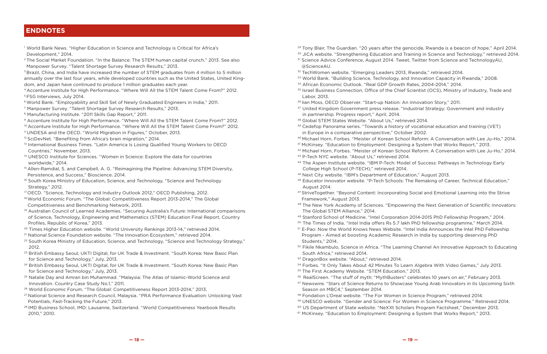- 1 World Bank News. "Higher Education in Science and Technology is Critical for Africa's Development," 2014.
- 2 The Social Market Foundation. "In the Balance: The STEM human capital crunch," 2013. See also Manpower Survey. "Talent Shortage Survey Research Results," 2013.
- <sup>3</sup> Brazil, China, and India have increased the number of STEM graduates from 4 million to 5 million annually over the last four years, while developed countries such as the United States, United Kingdom, and Japan have continued to produce 1 million graduates each year.
- 4 Accenture Institute for High Performance. "Where Will All the STEM Talent Come From?" 2012. 5 FSG Interviews, July 2014.
- 6 World Bank. "Employability and Skill Set of Newly Graduated Engineers in India," 2011.
- 7 Manpower Survey. "Talent Shortage Survey Research Results," 2013.
- 8 Manufacturing Institute. "2011 Skills Gap Report," 2011.
- <sup>9</sup> Accenture Institute for High Performance. "Where Will All the STEM Talent Come From?" 2012.
- <sup>10</sup> Accenture Institute for High Performance. "Where Will All the STEM Talent Come From?" 2012.
- 11 UNDESA and the OECD. "World Migration in Figures," October, 2013.
- <sup>12</sup> SciDevNet. "Benefiting from Africa's brain migration," 2014.
- <sup>13</sup> International Business Times. "Latin America Is Losing Qualified Young Workers to OECD Countries," November, 2013.
- <sup>14</sup> UNESCO Institute for Sciences. "Women in Science: Explore the data for countries worldwide," 2014.
- <sup>15</sup> Allen-Ramdial, S. and Campbell, A. G. "Reimagining the Pipeline: Advancing STEM Diversity, Persistence, and Success," Bioscience. 2014.
- <sup>16</sup> South Korea Ministry of Education, Science, and Technology, "Science and Technology Strategy," 2012.
- 17 OECD. "Science, Technology and Industry Outlook 2012," OECD Publishing, 2012.
- 18 World Economic Forum. "The Global: Competitiveness Report 2013-2014," The Global Competitiveness and Benchmarking Network, 2013.
- <sup>19</sup> Australian Council of Learned Academies. "Securing Australia's Future: International comparisons of Science, Technology, Engineering and Mathematics (STEM) Education Final Report, Country Profiles, Republic of Korea," 2013.
- <sup>20</sup> Times Higher Education website. "World University Rankings 2013-14," retrieved 2014.
- <sup>21</sup> National Science Foundation website. "The Innovation Ecosystem," retrieved 2014.
- <sup>22</sup> South Korea Ministry of Education, Science, and Technology, "Science and Technology Strategy," 2012.
- <sup>23</sup> British Embassy Seoul, UKTI Digital, for UK Trade & Investment. "South Korea: New Basic Plan for Science and Technology," July, 2013.
- <sup>24</sup> British Embassy Seoul, UKTI Digital, for UK Trade & Investment. "South Korea: New Basic Plan for Science and Technology," July, 2013.
- <sup>25</sup> Natalie Day and Amran bin Muhammad. "Malaysia: The Atlas of Islamic-World Science and Innovation. Country Case Study No.1," 2011.
- <sup>26</sup> World Economic Forum. "The Global: Competitiveness Report 2013-2014," 2013.
- <sup>27</sup> National Science and Research Council, Malaysia. "PRA Performance Evaluation: Unlocking Vast Potentials, Fast-Tracking the Future," 2013.
- 28 IMD Business School, IMD: Lausanne, Switzerland. "World Competitiveness Yearbook Results 2010," 2010.
- 
- 
- <sup>31</sup> Science Advice Conference, August 2014. Tweet, Twitter from Science and TechnologyAU, @ScienceAU.
- <sup>32</sup> TechWomen website. "Emerging Leaders 2013, Rwanda," retrieved 2014.
- 
- Labor, 2013.
- <sup>36</sup> Iian Moss, OECD Observer. "Start-up Nation: An innovation Story," 2011. <sup>37</sup> United Kingdom Government press release. "Industrial Strategy: Government and industry
- in partnership. Progress report," April, 2014.
- 38 Global STEM States Website. "About Us," retrieved 2014. <sup>39</sup> Cedefop Panorama series. "Towards a history of vocational education and training (VET) in Europe in a comparative perspective," October 2002.
- 
- 
- 43 P-Tech NYC website. "About Us," retrieved 2014.
- College High School (P-TECH)," retrieved 2014.
- 45 Next City website. "IBM's Department of Education," August 2013.
- August 2014.
- Framework," August 2013.
- The Global STEM Alliance," 2014.
- 49 Stanford School of Medicine. "Intel Corporation 2014-2015 PhD Fellowship Program," 2014.
- 
- Program Aimed at boosting Academic Research in India by supporting deserving PhD Students," 2014.
- South Africa," retrieved 2014.
- 53 DragonBox website. "About," retrieved 2014.
- 
- 55 The First Academy Website. "STEM Education," 2013.
- 
- Season on MBC4," September 2014.
- 58 Fondation L'Oreal website. "The For Women in Science Program," retrieved 2014.
- 
- 

<sup>29</sup> Tony Blair, The Guardian. "20 years after the genocide, Rwanda is a beacon of hope," April 2014. <sup>30</sup> JICA website. "Strengthening Education and Training in Science and Technology," retrieved 2014.

<sup>33</sup> World Bank. "Building Science, Technology, and Innovation Capacity in Rwanda," 2008.

<sup>50</sup> The Times of India. "Intel India offers Rs 5.7 lakh PhD fellowship programme," March 2014. 51 E-Pao: Now the World Knows News Website. "Intel India Announces the Intel PhD Fellowship

<sup>52</sup> Fikile Nkambulo, Science in Africa. "The Learning Channel An Innovative Approach to Educating

54 Forbes. "It Only Takes About 42 Minutes To Learn Algebra With Video Games," July 2013. <sup>56</sup> RealScreen. "The stuff of myth: "MythBusters" celebrates 10 years on air," February 2013.

<sup>57</sup> Newswire. "Stars of Science Returns to Showcase Young Arab Innovators in its Upcoming Sixth

<sup>34</sup> African Economic Outlook. "Real GDP Growth Rates, 2004-2014," 2014.

<sup>35</sup> Israel Business Connection, Office of the Chief Scientist (OCS), Ministry of Industry, Trade and

40 Michael Horn, Forbes. "Meister of Korean School Reform: A Conversation with Lee Ju-Ho," 2014. <sup>41</sup> McKinsey. "Education to Employment: Designing a System that Works Report," 2013.

42 Michael Horn, Forbes. "Meister of Korean School Reform: A Conversation with Lee Ju-Ho," 2014.

<sup>44</sup> The Aspen Institute website. "IBM P-Tech: Model of Success: Pathways in Technology Early

<sup>46</sup> Educator Innovator website. "P-Tech Schools: The Remaking of Career, Technical Education,"

47 StriveTogether. "Beyond Content: Incorporating Social and Emotional Learning into the Strive

<sup>48</sup> The New York Academy of Sciences. "Empowering the Next Generation of Scientific Innovators:

59 UNESCO website. "Gender and Science: For Women in Science Programme." Retrieved 2014.

60 US Department of State website. "NeXXt Scholars Program Factsheet," December 2013.

61 McKinsey. "Education to Employment: Designing a System that Works Report," 2013.

#### **ENDNOTES**